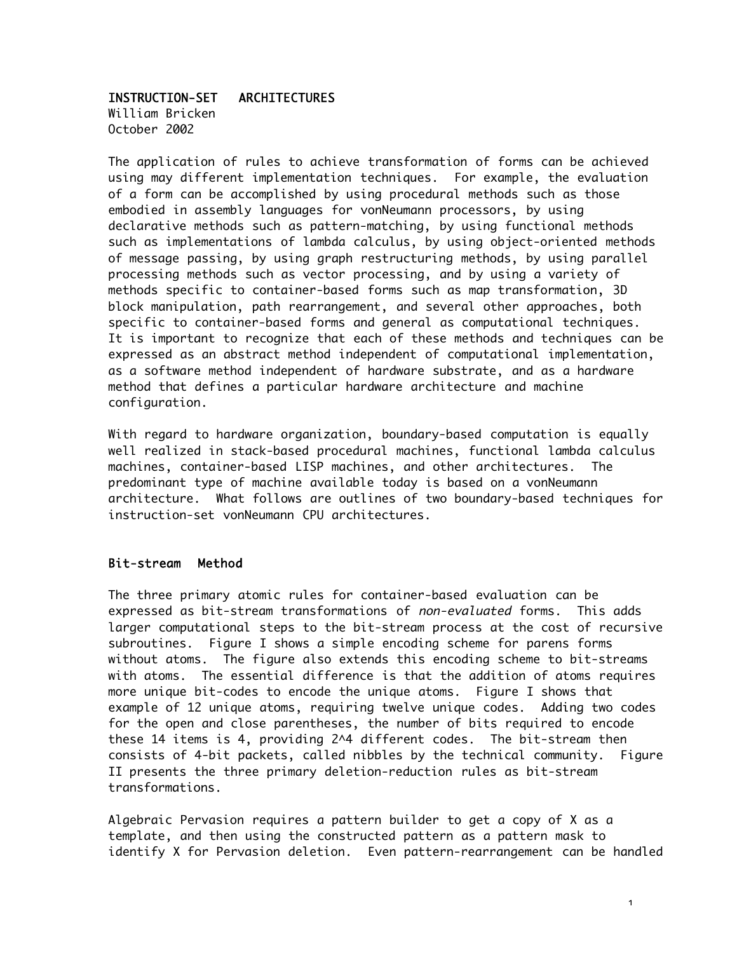### INSTRUCTION-SET ARCHITECTURES

William Bricken October 2002

The application of rules to achieve transformation of forms can be achieved using may different implementation techniques. For example, the evaluation of a form can be accomplished by using procedural methods such as those embodied in assembly languages for vonNeumann processors, by using declarative methods such as pattern-matching, by using functional methods such as implementations of lambda calculus, by using object-oriented methods of message passing, by using graph restructuring methods, by using parallel processing methods such as vector processing, and by using a variety of methods specific to container-based forms such as map transformation, 3D block manipulation, path rearrangement, and several other approaches, both specific to container-based forms and general as computational techniques. It is important to recognize that each of these methods and techniques can be expressed as an abstract method independent of computational implementation, as a software method independent of hardware substrate, and as a hardware method that defines a particular hardware architecture and machine configuration.

With regard to hardware organization, boundary-based computation is equally well realized in stack-based procedural machines, functional lambda calculus machines, container-based LISP machines, and other architectures. The predominant type of machine available today is based on a vonNeumann architecture. What follows are outlines of two boundary-based techniques for instruction-set vonNeumann CPU architectures.

#### Bit-stream Method

The three primary atomic rules for container-based evaluation can be expressed as bit-stream transformations of non-evaluated forms. This adds larger computational steps to the bit-stream process at the cost of recursive subroutines. Figure I shows a simple encoding scheme for parens forms without atoms. The figure also extends this encoding scheme to bit-streams with atoms. The essential difference is that the addition of atoms requires more unique bit-codes to encode the unique atoms. Figure I shows that example of 12 unique atoms, requiring twelve unique codes. Adding two codes for the open and close parentheses, the number of bits required to encode these 14 items is 4, providing 2^4 different codes. The bit-stream then consists of 4-bit packets, called nibbles by the technical community. Figure II presents the three primary deletion-reduction rules as bit-stream transformations.

Algebraic Pervasion requires a pattern builder to get a copy of X as a template, and then using the constructed pattern as a pattern mask to identify X for Pervasion deletion. Even pattern-rearrangement can be handled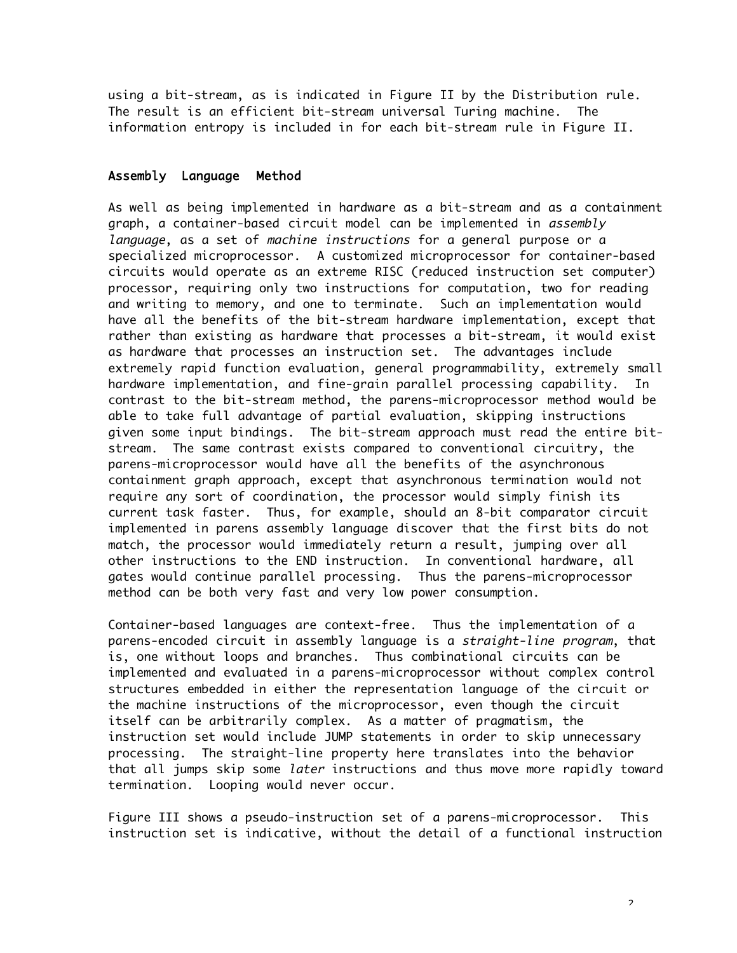using a bit-stream, as is indicated in Figure II by the Distribution rule. The result is an efficient bit-stream universal Turing machine. The information entropy is included in for each bit-stream rule in Figure II.

#### Assembly Language Method

As well as being implemented in hardware as a bit-stream and as a containment graph, a container-based circuit model can be implemented in assembly language, as a set of machine instructions for a general purpose or a specialized microprocessor. A customized microprocessor for container-based circuits would operate as an extreme RISC (reduced instruction set computer) processor, requiring only two instructions for computation, two for reading and writing to memory, and one to terminate. Such an implementation would have all the benefits of the bit-stream hardware implementation, except that rather than existing as hardware that processes a bit-stream, it would exist as hardware that processes an instruction set. The advantages include extremely rapid function evaluation, general programmability, extremely small hardware implementation, and fine-grain parallel processing capability. In contrast to the bit-stream method, the parens-microprocessor method would be able to take full advantage of partial evaluation, skipping instructions given some input bindings. The bit-stream approach must read the entire bitstream. The same contrast exists compared to conventional circuitry, the parens-microprocessor would have all the benefits of the asynchronous containment graph approach, except that asynchronous termination would not require any sort of coordination, the processor would simply finish its current task faster. Thus, for example, should an 8-bit comparator circuit implemented in parens assembly language discover that the first bits do not match, the processor would immediately return a result, jumping over all other instructions to the END instruction. In conventional hardware, all gates would continue parallel processing. Thus the parens-microprocessor method can be both very fast and very low power consumption.

Container-based languages are context-free. Thus the implementation of a parens-encoded circuit in assembly language is a straight-line program, that is, one without loops and branches. Thus combinational circuits can be implemented and evaluated in a parens-microprocessor without complex control structures embedded in either the representation language of the circuit or the machine instructions of the microprocessor, even though the circuit itself can be arbitrarily complex. As a matter of pragmatism, the instruction set would include JUMP statements in order to skip unnecessary processing. The straight-line property here translates into the behavior that all jumps skip some *later* instructions and thus move more rapidly toward termination. Looping would never occur.

Figure III shows a pseudo-instruction set of a parens-microprocessor. This instruction set is indicative, without the detail of a functional instruction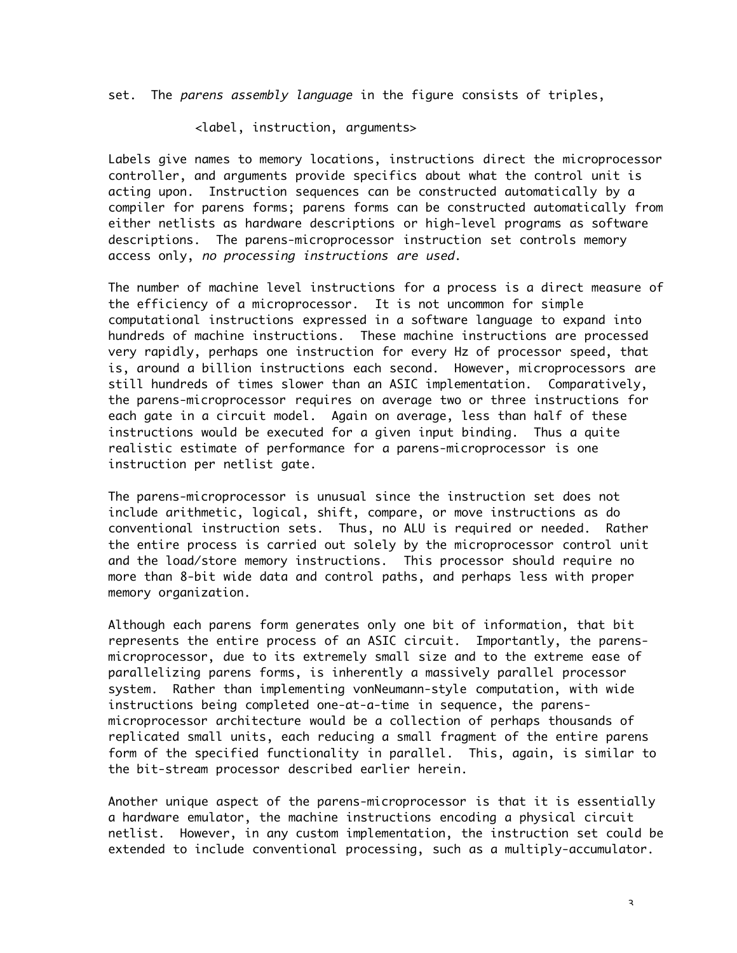set. The parens assembly language in the figure consists of triples,

<label, instruction, arguments>

Labels give names to memory locations, instructions direct the microprocessor controller, and arguments provide specifics about what the control unit is acting upon. Instruction sequences can be constructed automatically by a compiler for parens forms; parens forms can be constructed automatically from either netlists as hardware descriptions or high-level programs as software descriptions. The parens-microprocessor instruction set controls memory access only, no processing instructions are used.

The number of machine level instructions for a process is a direct measure of the efficiency of a microprocessor. It is not uncommon for simple computational instructions expressed in a software language to expand into hundreds of machine instructions. These machine instructions are processed very rapidly, perhaps one instruction for every Hz of processor speed, that is, around a billion instructions each second. However, microprocessors are still hundreds of times slower than an ASIC implementation. Comparatively, the parens-microprocessor requires on average two or three instructions for each gate in a circuit model. Again on average, less than half of these instructions would be executed for a given input binding. Thus a quite realistic estimate of performance for a parens-microprocessor is one instruction per netlist gate.

The parens-microprocessor is unusual since the instruction set does not include arithmetic, logical, shift, compare, or move instructions as do conventional instruction sets. Thus, no ALU is required or needed. Rather the entire process is carried out solely by the microprocessor control unit and the load/store memory instructions. This processor should require no more than 8-bit wide data and control paths, and perhaps less with proper memory organization.

Although each parens form generates only one bit of information, that bit represents the entire process of an ASIC circuit. Importantly, the parensmicroprocessor, due to its extremely small size and to the extreme ease of parallelizing parens forms, is inherently a massively parallel processor system. Rather than implementing vonNeumann-style computation, with wide instructions being completed one-at-a-time in sequence, the parensmicroprocessor architecture would be a collection of perhaps thousands of replicated small units, each reducing a small fragment of the entire parens form of the specified functionality in parallel. This, again, is similar to the bit-stream processor described earlier herein.

Another unique aspect of the parens-microprocessor is that it is essentially a hardware emulator, the machine instructions encoding a physical circuit netlist. However, in any custom implementation, the instruction set could be extended to include conventional processing, such as a multiply-accumulator.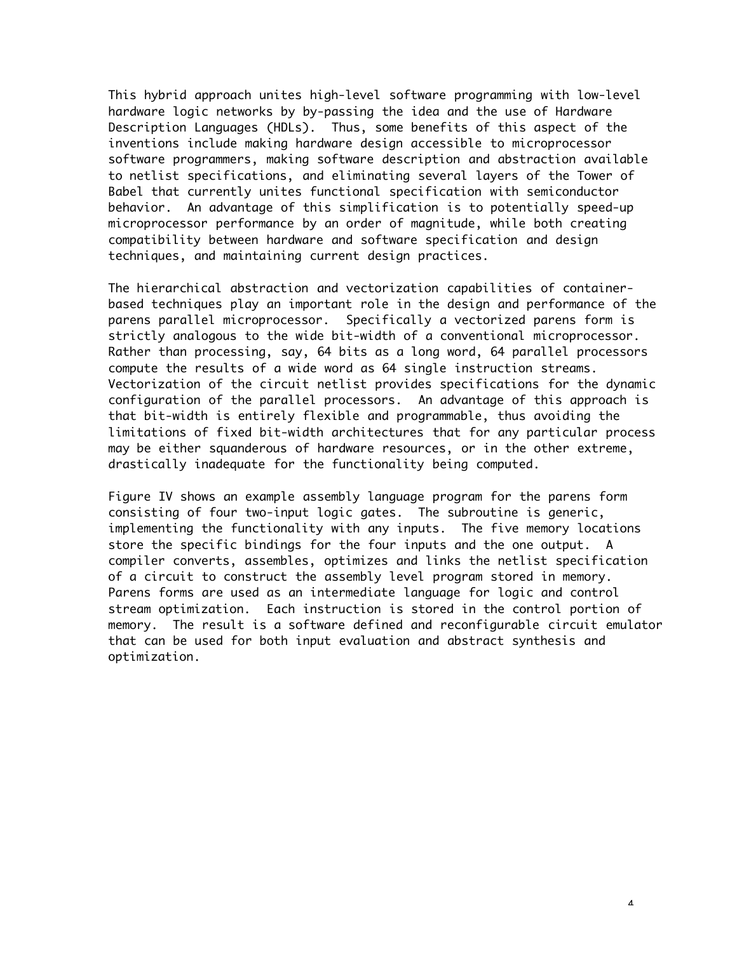This hybrid approach unites high-level software programming with low-level hardware logic networks by by-passing the idea and the use of Hardware Description Languages (HDLs). Thus, some benefits of this aspect of the inventions include making hardware design accessible to microprocessor software programmers, making software description and abstraction available to netlist specifications, and eliminating several layers of the Tower of Babel that currently unites functional specification with semiconductor behavior. An advantage of this simplification is to potentially speed-up microprocessor performance by an order of magnitude, while both creating compatibility between hardware and software specification and design techniques, and maintaining current design practices.

The hierarchical abstraction and vectorization capabilities of containerbased techniques play an important role in the design and performance of the parens parallel microprocessor. Specifically a vectorized parens form is strictly analogous to the wide bit-width of a conventional microprocessor. Rather than processing, say, 64 bits as a long word, 64 parallel processors compute the results of a wide word as 64 single instruction streams. Vectorization of the circuit netlist provides specifications for the dynamic configuration of the parallel processors. An advantage of this approach is that bit-width is entirely flexible and programmable, thus avoiding the limitations of fixed bit-width architectures that for any particular process may be either squanderous of hardware resources, or in the other extreme, drastically inadequate for the functionality being computed.

Figure IV shows an example assembly language program for the parens form consisting of four two-input logic gates. The subroutine is generic, implementing the functionality with any inputs. The five memory locations store the specific bindings for the four inputs and the one output. A compiler converts, assembles, optimizes and links the netlist specification of a circuit to construct the assembly level program stored in memory. Parens forms are used as an intermediate language for logic and control stream optimization. Each instruction is stored in the control portion of memory. The result is a software defined and reconfigurable circuit emulator that can be used for both input evaluation and abstract synthesis and optimization.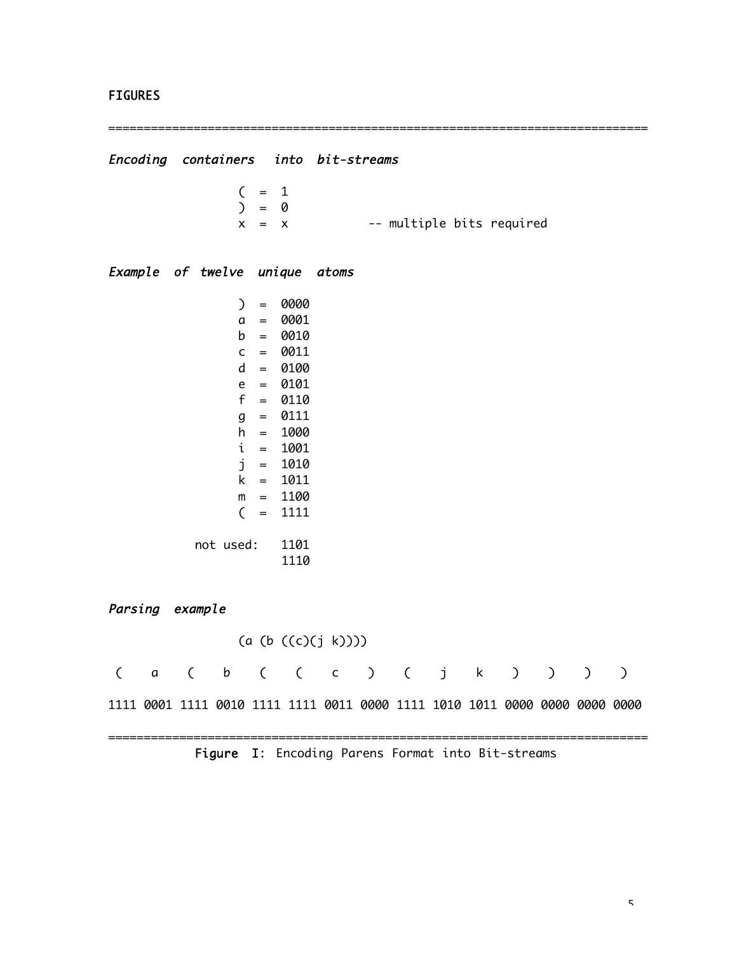### **FIGURES**

============================================================================ Encoding containers into bit-streams  $( = 1)$  $) = 0$  $x = x$  -- multiple bits required Example of twelve unique atoms  $) = 0000$ a = 0001 b = 0010 c = 0011  $d = 0100$ e = 0101  $f = 0110$ g = 0111  $h = 1000$ i = 1001 j = 1010 k = 1011  $m = 1100$  $($  = 1111 not used: 1101 1110 Parsing example (a (b ((c)(j k)))) ( a ( b ( ( c ) ( j k ) ) ) ) 1111 0001 1111 0010 1111 1111 0011 0000 1111 1010 1011 0000 0000 0000 0000 ============================================================================ Figure I: Encoding Parens Format into Bit-streams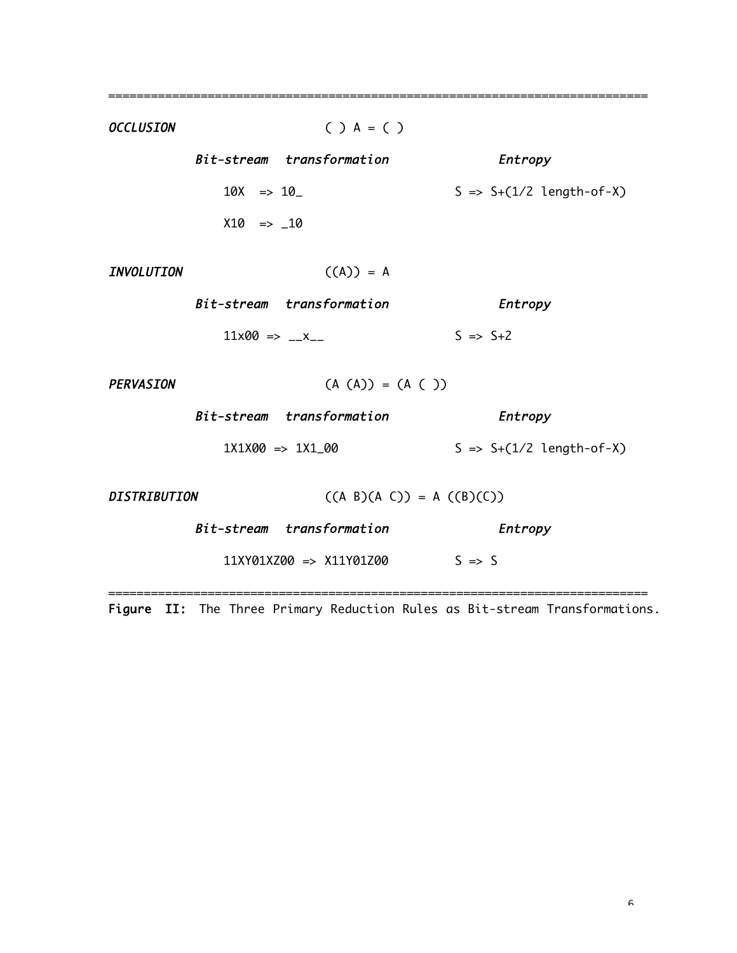OCCLUSION ( ) A = ( ) Bit-stream transformation Entropy  $10X \Rightarrow 10$   $S \Rightarrow S+(1/2 \text{ length-of-X})$  $X10 = > 10$ INVOLUTION ((A)) = A Bit-stream transformation Entropy  $11x00 \Rightarrow x_{--}$   $S \Rightarrow S+2$  $PERVASION$  (A (A)) = (A ( )) Bit-stream transformation Entropy  $1X1X00 \Rightarrow 1X1_00$   $S \Rightarrow S+(1/2 \text{ length-of-X})$ DISTRIBUTION  $((A \ B)(A \ C)) = A ((B)(C))$ Bit-stream transformation Entropy 11XY01XZ00 => X11Y01Z00 S => S ============================================================================

============================================================================

Figure II: The Three Primary Reduction Rules as Bit-stream Transformations.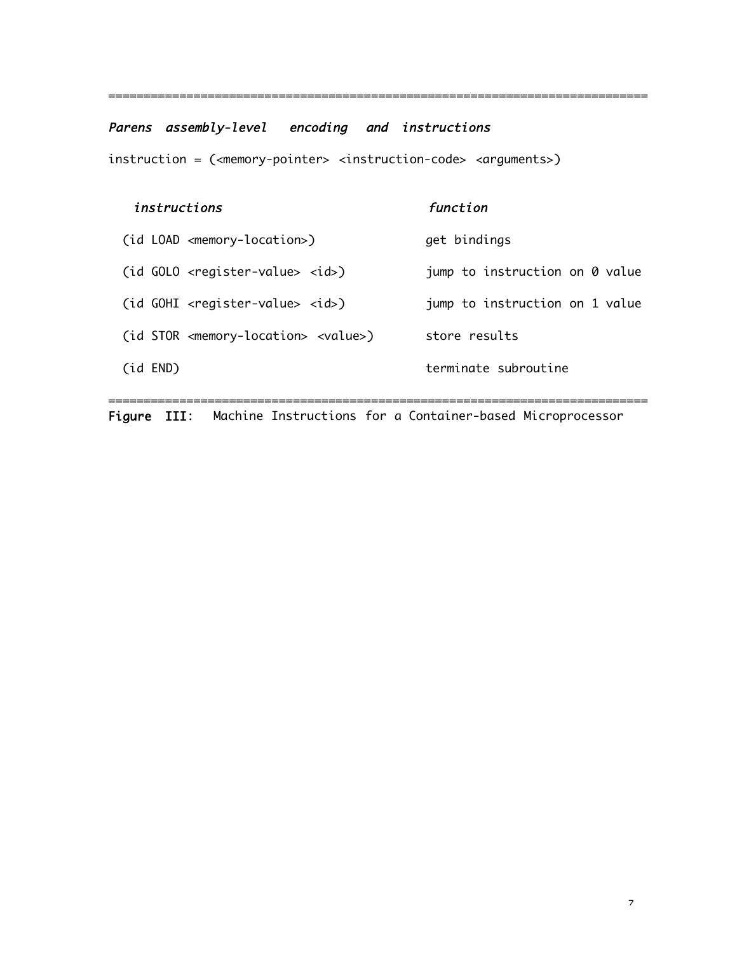# Parens assembly-level encoding and instructions

instruction = (<memory-pointer> <instruction-code> <arguments>)

| instructions |                                                               | function                       |
|--------------|---------------------------------------------------------------|--------------------------------|
|              | (id LOAD <memory-location>)</memory-location>                 | get bindings                   |
|              | $(id$ GOLO <register-value> <id>)</id></register-value>       | jump to instruction on 0 value |
|              | $(id$ GOHI <register-value> <id>)</id></register-value>       | jump to instruction on 1 value |
|              | (id STOR <memory-location> <value>)</value></memory-location> | store results                  |
| (id END)     |                                                               | terminate subroutine           |
|              |                                                               |                                |

============================================================================

Figure III: Machine Instructions for a Container-based Microprocessor